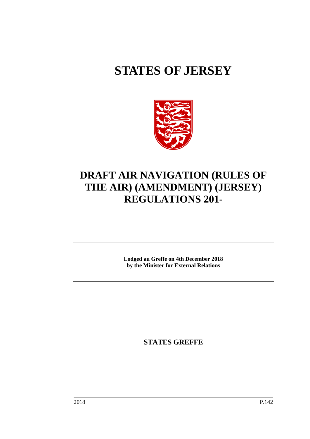# **STATES OF JERSEY**



# **DRAFT AIR NAVIGATION (RULES OF THE AIR) (AMENDMENT) (JERSEY) REGULATIONS 201-**

**Lodged au Greffe on 4th December 2018 by the Minister for External Relations**

**STATES GREFFE**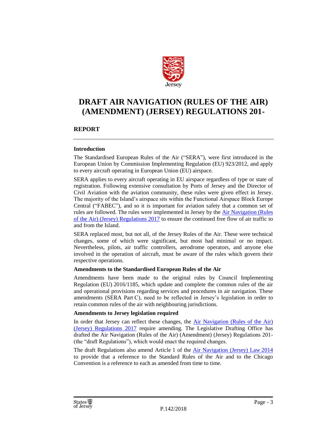

# **DRAFT AIR NAVIGATION (RULES OF THE AIR) (AMENDMENT) (JERSEY) REGULATIONS 201-**

# **REPORT**

#### **Introduction**

The Standardised European Rules of the Air ("SERA"), were first introduced in the European Union by Commission Implementing Regulation (EU) 923/2012, and apply to every aircraft operating in European Union (EU) airspace.

SERA applies to every aircraft operating in EU airspace regardless of type or state of registration. Following extensive consultation by Ports of Jersey and the Director of Civil Aviation with the aviation community, these rules were given effect in Jersey. The majority of the Island's airspace sits within the Functional Airspace Block Europe Central ("FABEC"), and so it is important for aviation safety that a common set of rules are followed. The rules were implemented in Jersey by the [Air Navigation \(Rules](https://www.jerseylaw.je/laws/revised/Pages/03.250.65.aspx)  [of the Air\) \(Jersey\) Regulations 2017](https://www.jerseylaw.je/laws/revised/Pages/03.250.65.aspx) to ensure the continued free flow of air traffic to and from the Island.

SERA replaced most, but not all, of the Jersey Rules of the Air. These were technical changes, some of which were significant, but most had minimal or no impact. Nevertheless, pilots, air traffic controllers, aerodrome operators, and anyone else involved in the operation of aircraft, must be aware of the rules which govern their respective operations.

#### **Amendments to the Standardised European Rules of the Air**

Amendments have been made to the original rules by Council Implementing Regulation (EU) 2016/1185, which update and complete the common rules of the air and operational provisions regarding services and procedures in air navigation. These amendments (SERA Part C), need to be reflected in Jersey's legislation in order to retain common rules of the air with neighbouring jurisdictions.

#### **Amendments to Jersey legislation required**

In order that Jersey can reflect these changes, the Air Navigation (Rules of the Air) [\(Jersey\) Regulations 2017](https://www.jerseylaw.je/laws/revised/Pages/03.250.65.aspx) require amending. The Legislative Drafting Office has drafted the Air Navigation (Rules of the Air) (Amendment) (Jersey) Regulations 201- (the "draft Regulations"), which would enact the required changes.

The draft Regulations also amend Article 1 of the **Air Navigation (Jersey) Law 2014** to provide that a reference to the Standard Rules of the Air and to the Chicago Convention is a reference to each as amended from time to time.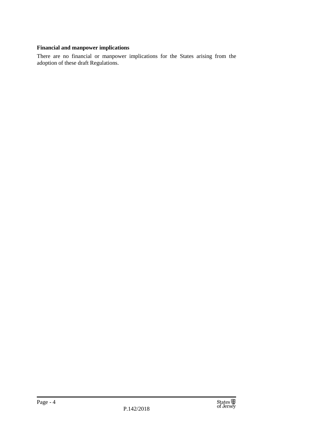# **Financial and manpower implications**

There are no financial or manpower implications for the States arising from the adoption of these draft Regulations.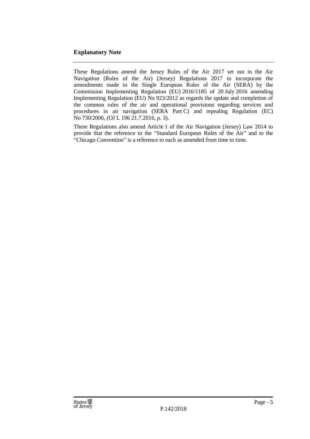# **Explanatory Note**

These Regulations amend the Jersey Rules of the Air 2017 set out in the Air Navigation (Rules of the Air) (Jersey) Regulations 2017 to incorporate the amendments made to the Single European Rules of the Air (SERA) by the Commission Implementing Regulation (EU) 2016/1185 of 20 July 2016 amending Implementing Regulation (EU) No 923/2012 as regards the update and completion of the common rules of the air and operational provisions regarding services and procedures in air navigation (SERA Part C) and repealing Regulation (EC) No 730/2006, (OJ L 196 21.7.2016, p. 3).

These Regulations also amend Article 1 of the Air Navigation (Jersey) Law 2014 to provide that the reference to the "Standard European Rules of the Air" and to the "Chicago Convention" is a reference to each as amended from time to time.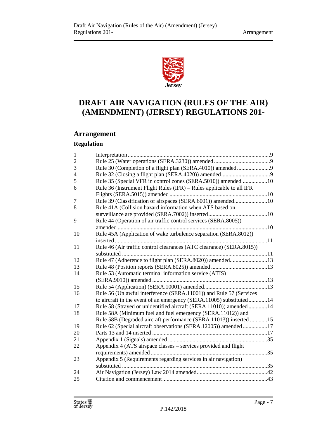

# **DRAFT AIR NAVIGATION (RULES OF THE AIR) (AMENDMENT) (JERSEY) REGULATIONS 201-**

# **Arrangement**

# **Regulation**

| $\mathbf{1}$                                                               |  |
|----------------------------------------------------------------------------|--|
| $\overline{c}$                                                             |  |
| 3                                                                          |  |
| $\overline{4}$                                                             |  |
| 5<br>Rule 35 (Special VFR in control zones (SERA.5010)) amended 10         |  |
| Rule 36 (Instrument Flight Rules (IFR) - Rules applicable to all IFR<br>6  |  |
|                                                                            |  |
| Rule 39 (Classification of airspaces (SERA.6001)) amended10<br>7           |  |
| Rule 41A (Collision hazard information when ATS based on<br>8              |  |
|                                                                            |  |
| 9<br>Rule 44 (Operation of air traffic control services (SERA.8005))       |  |
|                                                                            |  |
| Rule 45A (Application of wake turbulence separation (SERA.8012))<br>10     |  |
|                                                                            |  |
| Rule 46 (Air traffic control clearances (ATC clearance) (SERA.8015))<br>11 |  |
|                                                                            |  |
| Rule 47 (Adherence to flight plan (SERA.8020)) amended13<br>12             |  |
| 13                                                                         |  |
| Rule 53 (Automatic terminal information service (ATIS)<br>14               |  |
|                                                                            |  |
| 15                                                                         |  |
| Rule 56 (Unlawful interference (SERA.11001)) and Rule 57 (Services<br>16   |  |
| to aircraft in the event of an emergency (SERA.11005) substituted14        |  |
| Rule 58 (Strayed or unidentified aircraft (SERA 11010)) amended 14<br>17   |  |
| Rule 58A (Minimum fuel and fuel emergency (SERA.11012)) and<br>18          |  |
| Rule 58B (Degraded aircraft performance (SERA 11013)) inserted 15          |  |
| Rule 62 (Special aircraft observations (SERA.12005)) amended17<br>19       |  |
| 20                                                                         |  |
| 21                                                                         |  |
| Appendix 4 (ATS airspace classes – services provided and flight<br>22      |  |
|                                                                            |  |
| Appendix 5 (Requirements regarding services in air navigation)<br>23       |  |
|                                                                            |  |
| 24                                                                         |  |
| 25                                                                         |  |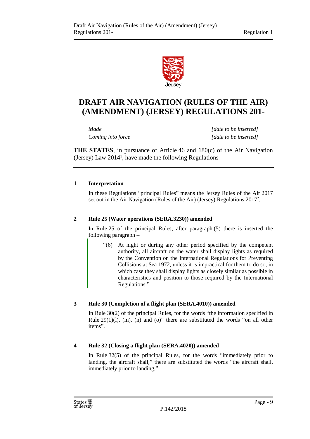

# **DRAFT AIR NAVIGATION (RULES OF THE AIR) (AMENDMENT) (JERSEY) REGULATIONS 201-**

*Made [date to be inserted] Coming into force [date to be inserted]*

**THE STATES**, in pursuance of Article 46 and 180(c) of the Air Navigation (Jersey) Law 2014<sup>1</sup> , have made the following Regulations –

# <span id="page-8-0"></span>**1 Interpretation**

In these Regulations "principal Rules" means the Jersey Rules of the Air 2017 set out in the Air Navigation (Rules of the Air) (Jersey) Regulations 2017<sup>2</sup>.

### <span id="page-8-1"></span>**2 Rule 25 (Water operations (SERA.3230)) amended**

In Rule 25 of the principal Rules, after paragraph (5) there is inserted the following paragraph –

"(6) At night or during any other period specified by the competent authority, all aircraft on the water shall display lights as required by the Convention on the International Regulations for Preventing Collisions at Sea 1972, unless it is impractical for them to do so, in which case they shall display lights as closely similar as possible in characteristics and position to those required by the International Regulations.".

# <span id="page-8-2"></span>**3 Rule 30 (Completion of a flight plan (SERA.4010)) amended**

In Rule 30(2) of the principal Rules, for the words "the information specified in Rule  $29(1)(1)$ , (m), (n) and (o)" there are substituted the words "on all other items".

# <span id="page-8-3"></span>**4 Rule 32 (Closing a flight plan (SERA.4020)) amended**

In Rule 32(5) of the principal Rules, for the words "immediately prior to landing, the aircraft shall," there are substituted the words "the aircraft shall, immediately prior to landing,".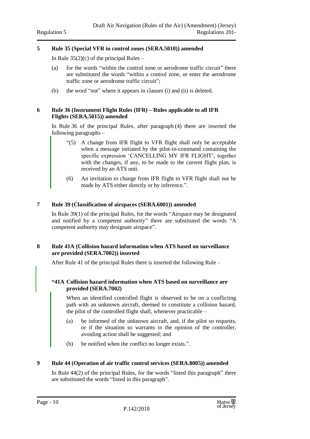#### <span id="page-9-0"></span>**5 Rule 35 (Special VFR in control zones (SERA.5010)) amended**

In Rule  $35(2)(c)$  of the principal Rules –

- (a) for the words "within the control zone or aerodrome traffic circuit" there are substituted the words "within a control zone, or enter the aerodrome traffic zone or aerodrome traffic circuit";
- (b) the word "not" where it appears in clauses (i) and (ii) is deleted.

#### <span id="page-9-1"></span>**6 Rule 36 (Instrument Flight Rules (IFR) – Rules applicable to all IFR Flights (SERA.5015)) amended**

In Rule 36 of the principal Rules, after paragraph (4) there are inserted the following paragraphs –

- "(5) A change from IFR flight to VFR flight shall only be acceptable when a message initiated by the pilot-in-command containing the specific expression 'CANCELLING MY IFR FLIGHT', together with the changes, if any, to be made to the current flight plan, is received by an ATS unit.
- (6) An invitation to change from IFR flight to VFR flight shall not be made by ATS either directly or by inference.".

#### <span id="page-9-2"></span>**7 Rule 39 (Classification of airspaces (SERA.6001)) amended**

In Rule 39(1) of the principal Rules, for the words "Airspace may be designated and notified by a competent authority" there are substituted the words "A competent authority may designate airspace".

#### <span id="page-9-3"></span>**8 Rule 41A (Collision hazard information when ATS based on surveillance are provided (SERA.7002)) inserted**

After Rule 41 of the principal Rules there is inserted the following Rule –

#### **"41A Collision hazard information when ATS based on surveillance are provided (SERA.7002)**

When an identified controlled flight is observed to be on a conflicting path with an unknown aircraft, deemed to constitute a collision hazard, the pilot of the controlled flight shall, whenever practicable –

- (a) be informed of the unknown aircraft, and, if the pilot so requests, or if the situation so warrants in the opinion of the controller, avoiding action shall be suggested; and
- (b) be notified when the conflict no longer exists.".

#### <span id="page-9-4"></span>**9 Rule 44 (Operation of air traffic control services (SERA.8005)) amended**

In Rule 44(2) of the principal Rules, for the words "listed this paragraph" there are substituted the words "listed in this paragraph".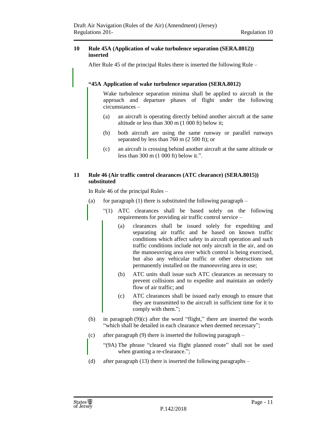#### <span id="page-10-0"></span>**10 Rule 45A (Application of wake turbulence separation (SERA.8012)) inserted**

After Rule 45 of the principal Rules there is inserted the following Rule –

### **"45A Application of wake turbulence separation (SERA.8012)**

Wake turbulence separation minima shall be applied to aircraft in the approach and departure phases of flight under the following circumstances –

- (a) an aircraft is operating directly behind another aircraft at the same altitude or less than 300 m (1 000 ft) below it;
- (b) both aircraft are using the same runway or parallel runways separated by less than 760 m (2 500 ft); or
- (c) an aircraft is crossing behind another aircraft at the same altitude or less than 300 m (1 000 ft) below it.".

#### <span id="page-10-1"></span>**11 Rule 46 (Air traffic control clearances (ATC clearance) (SERA.8015)) substituted**

In Rule 46 of the principal Rules –

- (a) for paragraph  $(1)$  there is substituted the following paragraph
	- "(1) ATC clearances shall be based solely on the following requirements for providing air traffic control service –
		- (a) clearances shall be issued solely for expediting and separating air traffic and be based on known traffic conditions which affect safety in aircraft operation and such traffic conditions include not only aircraft in the air, and on the manoeuvring area over which control is being exercised, but also any vehicular traffic or other obstructions not permanently installed on the manoeuvring area in use;
		- (b) ATC units shall issue such ATC clearances as necessary to prevent collisions and to expedite and maintain an orderly flow of air traffic; and
		- (c) ATC clearances shall be issued early enough to ensure that they are transmitted to the aircraft in sufficient time for it to comply with them.";
- (b) in paragraph (9)(c) after the word "flight," there are inserted the words "which shall be detailed in each clearance when deemed necessary";
- (c) after paragraph (9) there is inserted the following paragraph
	- "(9A) The phrase "cleared via flight planned route" shall not be used when granting a re-clearance.";
- (d) after paragraph (13) there is inserted the following paragraphs –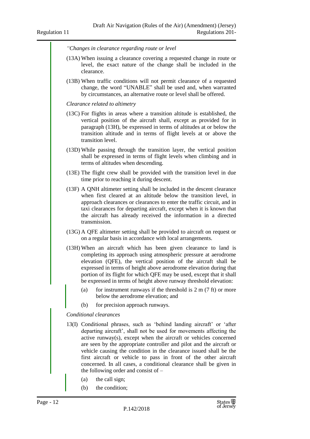*"Changes in clearance regarding route or level*

- (13A) When issuing a clearance covering a requested change in route or level, the exact nature of the change shall be included in the clearance.
- (13B) When traffic conditions will not permit clearance of a requested change, the word "UNABLE" shall be used and, when warranted by circumstances, an alternative route or level shall be offered.

*Clearance related to altimetry*

- (13C) For flights in areas where a transition altitude is established, the vertical position of the aircraft shall, except as provided for in paragraph (13H), be expressed in terms of altitudes at or below the transition altitude and in terms of flight levels at or above the transition level.
- (13D) While passing through the transition layer, the vertical position shall be expressed in terms of flight levels when climbing and in terms of altitudes when descending.
- (13E) The flight crew shall be provided with the transition level in due time prior to reaching it during descent.
- (13F) A QNH altimeter setting shall be included in the descent clearance when first cleared at an altitude below the transition level, in approach clearances or clearances to enter the traffic circuit, and in taxi clearances for departing aircraft, except when it is known that the aircraft has already received the information in a directed transmission.
- (13G) A QFE altimeter setting shall be provided to aircraft on request or on a regular basis in accordance with local arrangements.
- (13H) When an aircraft which has been given clearance to land is completing its approach using atmospheric pressure at aerodrome elevation (QFE), the vertical position of the aircraft shall be expressed in terms of height above aerodrome elevation during that portion of its flight for which QFE may be used, except that it shall be expressed in terms of height above runway threshold elevation:
	- (a) for instrument runways if the threshold is  $2 \text{ m} (7 \text{ ft})$  or more below the aerodrome elevation; and
	- (b) for precision approach runways.

*Conditional clearances*

- 13(I) Conditional phrases, such as 'behind landing aircraft' or 'after departing aircraft', shall not be used for movements affecting the active runway(s), except when the aircraft or vehicles concerned are seen by the appropriate controller and pilot and the aircraft or vehicle causing the condition in the clearance issued shall be the first aircraft or vehicle to pass in front of the other aircraft concerned. In all cases, a conditional clearance shall be given in the following order and consist of –
	- (a) the call sign;
	- (b) the condition;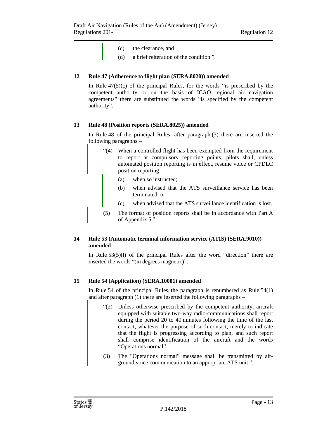- (c) the clearance, and
- (d) a brief reiteration of the condition.".

### <span id="page-12-0"></span>**12 Rule 47 (Adherence to flight plan (SERA.8020)) amended**

In Rule  $47(5)(c)$  of the principal Rules, for the words "is prescribed by the competent authority or on the basis of ICAO regional air navigation agreements" there are substituted the words "is specified by the competent authority".

#### <span id="page-12-1"></span>**13 Rule 48 (Position reports (SERA.8025)) amended**

In Rule 48 of the principal Rules, after paragraph (3) there are inserted the following paragraphs –

- "(4) When a controlled flight has been exempted from the requirement to report at compulsory reporting points, pilots shall, unless automated position reporting is in effect, resume voice or CPDLC position reporting –
	- (a) when so instructed;
	- (b) when advised that the ATS surveillance service has been terminated; or
	- (c) when advised that the ATS surveillance identification is lost.
- (5) The format of position reports shall be in accordance with Part A of Appendix 5.".

# <span id="page-12-2"></span>**14 Rule 53 (Automatic terminal information service (ATIS) (SERA.9010)) amended**

In Rule  $53(5)(1)$  of the principal Rules after the word "direction" there are inserted the words "(in degrees magnetic)".

#### <span id="page-12-3"></span>**15 Rule 54 (Application) (SERA.10001) amended**

In Rule 54 of the principal Rules, the paragraph is renumbered as Rule  $54(1)$ and after paragraph (1) there are inserted the following paragraphs –

- "(2) Unless otherwise prescribed by the competent authority, aircraft equipped with suitable two-way radio-communications shall report during the period 20 to 40 minutes following the time of the last contact, whatever the purpose of such contact, merely to indicate that the flight is progressing according to plan, and such report shall comprise identification of the aircraft and the words "Operations normal".
- (3) The "Operations normal" message shall be transmitted by airground voice communication to an appropriate ATS unit.".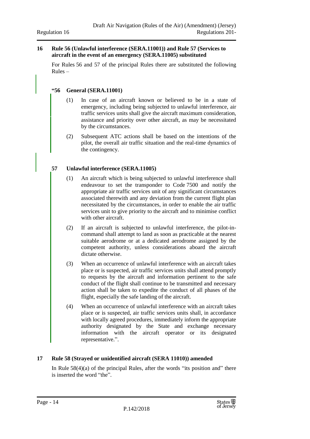#### <span id="page-13-0"></span>**16 Rule 56 (Unlawful interference (SERA.11001)) and Rule 57 (Services to aircraft in the event of an emergency (SERA.11005) substituted**

For Rules 56 and 57 of the principal Rules there are substituted the following Rules –

#### **"56 General (SERA.11001)**

- (1) In case of an aircraft known or believed to be in a state of emergency, including being subjected to unlawful interference, air traffic services units shall give the aircraft maximum consideration, assistance and priority over other aircraft, as may be necessitated by the circumstances.
- (2) Subsequent ATC actions shall be based on the intentions of the pilot, the overall air traffic situation and the real-time dynamics of the contingency.

#### **57 Unlawful interference (SERA.11005)**

- (1) An aircraft which is being subjected to unlawful interference shall endeavour to set the transponder to Code 7500 and notify the appropriate air traffic services unit of any significant circumstances associated therewith and any deviation from the current flight plan necessitated by the circumstances, in order to enable the air traffic services unit to give priority to the aircraft and to minimise conflict with other aircraft.
- (2) If an aircraft is subjected to unlawful interference, the pilot-incommand shall attempt to land as soon as practicable at the nearest suitable aerodrome or at a dedicated aerodrome assigned by the competent authority, unless considerations aboard the aircraft dictate otherwise.
- (3) When an occurrence of unlawful interference with an aircraft takes place or is suspected, air traffic services units shall attend promptly to requests by the aircraft and information pertinent to the safe conduct of the flight shall continue to be transmitted and necessary action shall be taken to expedite the conduct of all phases of the flight, especially the safe landing of the aircraft.
- (4) When an occurrence of unlawful interference with an aircraft takes place or is suspected, air traffic services units shall, in accordance with locally agreed procedures, immediately inform the appropriate authority designated by the State and exchange necessary information with the aircraft operator or its designated representative.".

#### <span id="page-13-1"></span>**17 Rule 58 (Strayed or unidentified aircraft (SERA 11010)) amended**

In Rule  $58(4)(a)$  of the principal Rules, after the words "its position and" there is inserted the word "the".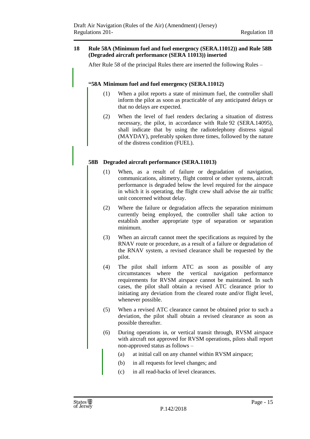#### <span id="page-14-0"></span>**18 Rule 58A (Minimum fuel and fuel emergency (SERA.11012)) and Rule 58B (Degraded aircraft performance (SERA 11013)) inserted**

After Rule 58 of the principal Rules there are inserted the following Rules –

# **"58A Minimum fuel and fuel emergency (SERA.11012)**

- (1) When a pilot reports a state of minimum fuel, the controller shall inform the pilot as soon as practicable of any anticipated delays or that no delays are expected.
- (2) When the level of fuel renders declaring a situation of distress necessary, the pilot, in accordance with Rule 92 (SERA.14095), shall indicate that by using the radiotelephony distress signal (MAYDAY), preferably spoken three times, followed by the nature of the distress condition (FUEL).

# **58B Degraded aircraft performance (SERA.11013)**

- (1) When, as a result of failure or degradation of navigation, communications, altimetry, flight control or other systems, aircraft performance is degraded below the level required for the airspace in which it is operating, the flight crew shall advise the air traffic unit concerned without delay.
- (2) Where the failure or degradation affects the separation minimum currently being employed, the controller shall take action to establish another appropriate type of separation or separation minimum.
- (3) When an aircraft cannot meet the specifications as required by the RNAV route or procedure, as a result of a failure or degradation of the RNAV system, a revised clearance shall be requested by the pilot.
- (4) The pilot shall inform ATC as soon as possible of any circumstances where the vertical navigation performance requirements for RVSM airspace cannot be maintained. In such cases, the pilot shall obtain a revised ATC clearance prior to initiating any deviation from the cleared route and/or flight level, whenever possible.
- (5) When a revised ATC clearance cannot be obtained prior to such a deviation, the pilot shall obtain a revised clearance as soon as possible thereafter.
- (6) During operations in, or vertical transit through, RVSM airspace with aircraft not approved for RVSM operations, pilots shall report non-approved status as follows –
	- (a) at initial call on any channel within RVSM airspace;
	- (b) in all requests for level changes; and
	- (c) in all read-backs of level clearances.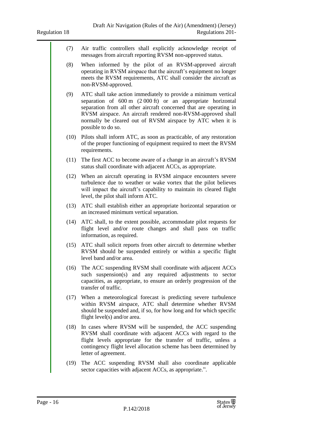- (7) Air traffic controllers shall explicitly acknowledge receipt of messages from aircraft reporting RVSM non-approved status.
- (8) When informed by the pilot of an RVSM-approved aircraft operating in RVSM airspace that the aircraft's equipment no longer meets the RVSM requirements, ATC shall consider the aircraft as non-RVSM-approved.
- (9) ATC shall take action immediately to provide a minimum vertical separation of 600 m (2 000 ft) or an appropriate horizontal separation from all other aircraft concerned that are operating in RVSM airspace. An aircraft rendered non-RVSM-approved shall normally be cleared out of RVSM airspace by ATC when it is possible to do so.
- (10) Pilots shall inform ATC, as soon as practicable, of any restoration of the proper functioning of equipment required to meet the RVSM requirements.
- (11) The first ACC to become aware of a change in an aircraft's RVSM status shall coordinate with adjacent ACCs, as appropriate.
- (12) When an aircraft operating in RVSM airspace encounters severe turbulence due to weather or wake vortex that the pilot believes will impact the aircraft's capability to maintain its cleared flight level, the pilot shall inform ATC.
- (13) ATC shall establish either an appropriate horizontal separation or an increased minimum vertical separation.
- (14) ATC shall, to the extent possible, accommodate pilot requests for flight level and/or route changes and shall pass on traffic information, as required.
- (15) ATC shall solicit reports from other aircraft to determine whether RVSM should be suspended entirely or within a specific flight level band and/or area.
- (16) The ACC suspending RVSM shall coordinate with adjacent ACCs such suspension(s) and any required adjustments to sector capacities, as appropriate, to ensure an orderly progression of the transfer of traffic.
- (17) When a meteorological forecast is predicting severe turbulence within RVSM airspace, ATC shall determine whether RVSM should be suspended and, if so, for how long and for which specific flight level(s) and/or area.
- (18) In cases where RVSM will be suspended, the ACC suspending RVSM shall coordinate with adjacent ACCs with regard to the flight levels appropriate for the transfer of traffic, unless a contingency flight level allocation scheme has been determined by letter of agreement.
- (19) The ACC suspending RVSM shall also coordinate applicable sector capacities with adjacent ACCs, as appropriate.".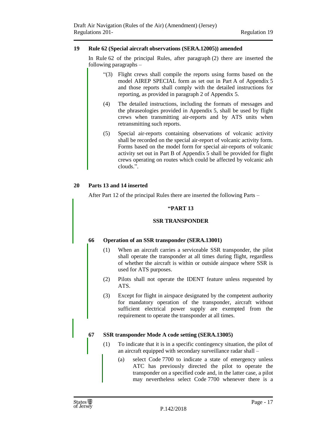#### <span id="page-16-0"></span>**19 Rule 62 (Special aircraft observations (SERA.12005)) amended**

In Rule 62 of the principal Rules, after paragraph (2) there are inserted the following paragraphs –

- "(3) Flight crews shall compile the reports using forms based on the model AIREP SPECIAL form as set out in Part A of Appendix 5 and those reports shall comply with the detailed instructions for reporting, as provided in paragraph 2 of Appendix 5.
- (4) The detailed instructions, including the formats of messages and the phraseologies provided in Appendix 5, shall be used by flight crews when transmitting air-reports and by ATS units when retransmitting such reports.
- (5) Special air-reports containing observations of volcanic activity shall be recorded on the special air-report of volcanic activity form. Forms based on the model form for special air-reports of volcanic activity set out in Part B of Appendix 5 shall be provided for flight crews operating on routes which could be affected by volcanic ash clouds.".

#### <span id="page-16-1"></span>**20 Parts 13 and 14 inserted**

After Part 12 of the principal Rules there are inserted the following Parts –

#### **"PART 13**

#### **SSR TRANSPONDER**

**66 Operation of an SSR transponder (SERA.13001)**

- (1) When an aircraft carries a serviceable SSR transponder, the pilot shall operate the transponder at all times during flight, regardless of whether the aircraft is within or outside airspace where SSR is used for ATS purposes.
- (2) Pilots shall not operate the IDENT feature unless requested by ATS.
- (3) Except for flight in airspace designated by the competent authority for mandatory operation of the transponder, aircraft without sufficient electrical power supply are exempted from the requirement to operate the transponder at all times.

#### **67 SSR transponder Mode A code setting (SERA.13005)**

- (1) To indicate that it is in a specific contingency situation, the pilot of an aircraft equipped with secondary surveillance radar shall –
	- (a) select Code 7700 to indicate a state of emergency unless ATC has previously directed the pilot to operate the transponder on a specified code and, in the latter case, a pilot may nevertheless select Code 7700 whenever there is a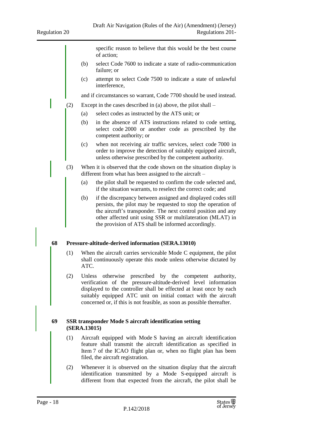specific reason to believe that this would be the best course of action;

- (b) select Code 7600 to indicate a state of radio-communication failure; or
- (c) attempt to select Code 7500 to indicate a state of unlawful interference,

and if circumstances so warrant, Code 7700 should be used instead.

- (2) Except in the cases described in (a) above, the pilot shall
	- (a) select codes as instructed by the ATS unit; or
	- (b) in the absence of ATS instructions related to code setting, select code 2000 or another code as prescribed by the competent authority; or
	- (c) when not receiving air traffic services, select code 7000 in order to improve the detection of suitably equipped aircraft, unless otherwise prescribed by the competent authority.
- (3) When it is observed that the code shown on the situation display is different from what has been assigned to the aircraft –
	- (a) the pilot shall be requested to confirm the code selected and, if the situation warrants, to reselect the correct code; and
	- (b) if the discrepancy between assigned and displayed codes still persists, the pilot may be requested to stop the operation of the aircraft's transponder. The next control position and any other affected unit using SSR or multilateration (MLAT) in the provision of ATS shall be informed accordingly.

#### **68 Pressure-altitude-derived information (SERA.13010)**

- (1) When the aircraft carries serviceable Mode C equipment, the pilot shall continuously operate this mode unless otherwise dictated by ATC.
- (2) Unless otherwise prescribed by the competent authority, verification of the pressure-altitude-derived level information displayed to the controller shall be effected at least once by each suitably equipped ATC unit on initial contact with the aircraft concerned or, if this is not feasible, as soon as possible thereafter.

#### **69 SSR transponder Mode S aircraft identification setting (SERA.13015)**

- (1) Aircraft equipped with Mode S having an aircraft identification feature shall transmit the aircraft identification as specified in Item 7 of the ICAO flight plan or, when no flight plan has been filed, the aircraft registration.
- (2) Whenever it is observed on the situation display that the aircraft identification transmitted by a Mode S-equipped aircraft is different from that expected from the aircraft, the pilot shall be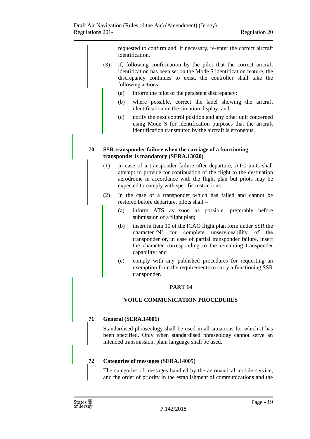requested to confirm and, if necessary, re-enter the correct aircraft identification.

- (3) If, following confirmation by the pilot that the correct aircraft identification has been set on the Mode S identification feature, the discrepancy continues to exist, the controller shall take the following actions –
	- (a) inform the pilot of the persistent discrepancy;
	- (b) where possible, correct the label showing the aircraft identification on the situation display; and
	- (c) notify the next control position and any other unit concerned using Mode S for identification purposes that the aircraft identification transmitted by the aircraft is erroneous.

#### **70 SSR transponder failure when the carriage of a functioning transponder is mandatory (SERA.13020)**

- (1) In case of a transponder failure after departure, ATC units shall attempt to provide for continuation of the flight to the destination aerodrome in accordance with the flight plan but pilots may be expected to comply with specific restrictions.
- (2) In the case of a transponder which has failed and cannot be restored before departure, pilots shall –
	- (a) inform ATS as soon as possible, preferably before submission of a flight plan;
	- (b) insert in Item 10 of the ICAO flight plan form under SSR the character 'N' for complete unserviceability of the transponder or, in case of partial transponder failure, insert the character corresponding to the remaining transponder capability; and
	- (c) comply with any published procedures for requesting an exemption from the requirements to carry a functioning SSR transponder.

#### **PART 14**

#### **VOICE COMMUNICATION PROCEDURES**

#### **71 General (SERA.14001)**

Standardised phraseology shall be used in all situations for which it has been specified. Only when standardised phraseology cannot serve an intended transmission, plain language shall be used.

#### **72 Categories of messages (SERA.14005)**

The categories of messages handled by the aeronautical mobile service, and the order of priority in the establishment of communications and the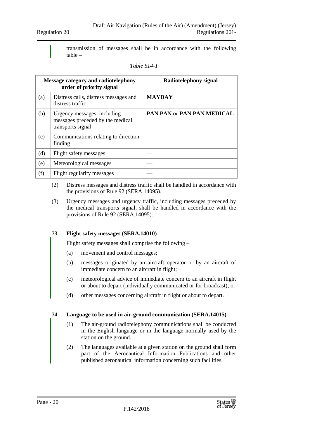transmission of messages shall be in accordance with the following table –

#### *Table S14-1*

|     | <b>Message category and radiotelephony</b><br>order of priority signal               | Radiotelephony signal             |
|-----|--------------------------------------------------------------------------------------|-----------------------------------|
| (a) | Distress calls, distress messages and<br>distress traffic                            | <b>MAYDAY</b>                     |
| (b) | Urgency messages, including<br>messages preceded by the medical<br>transports signal | <b>PAN PAN or PAN PAN MEDICAL</b> |
| (c) | Communications relating to direction<br>finding                                      |                                   |
| (d) | Flight safety messages                                                               |                                   |
| (e) | Meteorological messages                                                              |                                   |
| (f) | Flight regularity messages                                                           |                                   |

- (2) Distress messages and distress traffic shall be handled in accordance with the provisions of Rule 92 (SERA.14095).
- (3) Urgency messages and urgency traffic, including messages preceded by the medical transports signal, shall be handled in accordance with the provisions of Rule 92 (SERA.14095).

#### **73 Flight safety messages (SERA.14010)**

Flight safety messages shall comprise the following –

- (a) movement and control messages;
- (b) messages originated by an aircraft operator or by an aircraft of immediate concern to an aircraft in flight;
- (c) meteorological advice of immediate concern to an aircraft in flight or about to depart (individually communicated or for broadcast); or
- (d) other messages concerning aircraft in flight or about to depart.

#### **74 Language to be used in air-ground communication (SERA.14015)**

- (1) The air-ground radiotelephony communications shall be conducted in the English language or in the language normally used by the station on the ground.
- (2) The languages available at a given station on the ground shall form part of the Aeronautical Information Publications and other published aeronautical information concerning such facilities.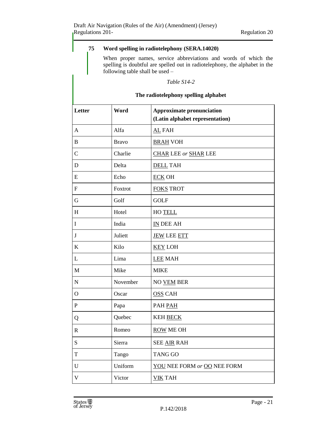# **75 Word spelling in radiotelephony (SERA.14020)**

When proper names, service abbreviations and words of which the spelling is doubtful are spelled out in radiotelephony, the alphabet in the following table shall be used –

#### *Table S14-2*

# **The radiotelephony spelling alphabet**

| Letter         | Word         | <b>Approximate pronunciation</b><br>(Latin alphabet representation) |
|----------------|--------------|---------------------------------------------------------------------|
| A              | Alfa         | <b>AL FAH</b>                                                       |
| $\bf{B}$       | <b>Bravo</b> | <b>BRAH VOH</b>                                                     |
| $\mathcal{C}$  | Charlie      | <b>CHAR LEE or SHAR LEE</b>                                         |
| $\mathbf D$    | Delta        | <b>DELL TAH</b>                                                     |
| E              | Echo         | <b>ECK OH</b>                                                       |
| $\mathbf F$    | Foxtrot      | <b>FOKS TROT</b>                                                    |
| G              | Golf         | <b>GOLF</b>                                                         |
| H              | Hotel        | HO TELL                                                             |
| I              | India        | IN DEE AH                                                           |
| $\bf J$        | Juliett      | <b>JEW LEE ETT</b>                                                  |
| $\bf K$        | Kilo         | <b>KEY LOH</b>                                                      |
| L              | Lima         | <b>LEE MAH</b>                                                      |
| $\mathbf M$    | Mike         | <b>MIKE</b>                                                         |
| ${\bf N}$      | November     | <b>NO VEM BER</b>                                                   |
| $\overline{O}$ | Oscar        | <b>OSS CAH</b>                                                      |
| $\mathbf{P}$   | Papa         | PAH PAH                                                             |
| Q              | Quebec       | <b>KEH BECK</b>                                                     |
| $\mathbf R$    | Romeo        | <b>ROW ME OH</b>                                                    |
| S              | Sierra       | <b>SEE AIR RAH</b>                                                  |
| $\mathbf T$    | Tango        | <b>TANG GO</b>                                                      |
| U              | Uniform      | YOU NEE FORM or OO NEE FORM                                         |
| $\mathbf{V}$   | Victor       | <b>VIK TAH</b>                                                      |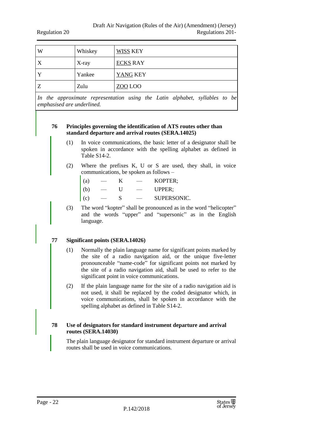| W            | Whiskey | WISS KEY        |
|--------------|---------|-----------------|
| X            | X-ray   | <b>ECKS RAY</b> |
| $\mathbf{Y}$ | Yankee  | YANG KEY        |
| Z            | Zulu    | ZOO LOO         |

*In the approximate representation using the Latin alphabet, syllables to be emphasised are underlined.*

#### **76 Principles governing the identification of ATS routes other than standard departure and arrival routes (SERA.14025)**

- (1) In voice communications, the basic letter of a designator shall be spoken in accordance with the spelling alphabet as defined in Table S14-2.
- (2) Where the prefixes K, U or S are used, they shall, in voice communications, be spoken as follows –
	- (a) K KOPTER;
	- $(b)$  U UPPER;
	- (c) S SUPERSONIC.
- (3) The word "kopter" shall be pronounced as in the word "helicopter" and the words "upper" and "supersonic" as in the English language.

#### **77 Significant points (SERA.14026)**

- (1) Normally the plain language name for significant points marked by the site of a radio navigation aid, or the unique five-letter pronounceable "name-code" for significant points not marked by the site of a radio navigation aid, shall be used to refer to the significant point in voice communications.
- (2) If the plain language name for the site of a radio navigation aid is not used, it shall be replaced by the coded designator which, in voice communications, shall be spoken in accordance with the spelling alphabet as defined in Table S14-2.

#### **78 Use of designators for standard instrument departure and arrival routes (SERA.14030)**

The plain language designator for standard instrument departure or arrival routes shall be used in voice communications.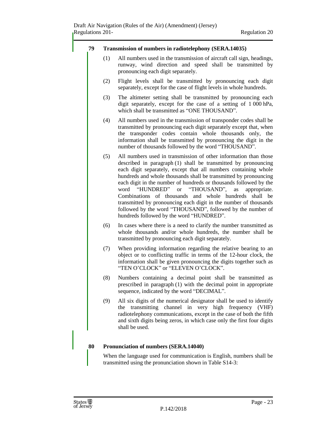#### **79 Transmission of numbers in radiotelephony (SERA.14035)**

- (1) All numbers used in the transmission of aircraft call sign, headings, runway, wind direction and speed shall be transmitted by pronouncing each digit separately.
- (2) Flight levels shall be transmitted by pronouncing each digit separately, except for the case of flight levels in whole hundreds.
- (3) The altimeter setting shall be transmitted by pronouncing each digit separately, except for the case of a setting of 1 000 hPa, which shall be transmitted as "ONE THOUSAND".
- (4) All numbers used in the transmission of transponder codes shall be transmitted by pronouncing each digit separately except that, when the transponder codes contain whole thousands only, the information shall be transmitted by pronouncing the digit in the number of thousands followed by the word "THOUSAND".
- (5) All numbers used in transmission of other information than those described in paragraph (1) shall be transmitted by pronouncing each digit separately, except that all numbers containing whole hundreds and whole thousands shall be transmitted by pronouncing each digit in the number of hundreds or thousands followed by the word "HUNDRED" or "THOUSAND", as appropriate. Combinations of thousands and whole hundreds shall be transmitted by pronouncing each digit in the number of thousands followed by the word "THOUSAND", followed by the number of hundreds followed by the word "HUNDRED".
- (6) In cases where there is a need to clarify the number transmitted as whole thousands and/or whole hundreds, the number shall be transmitted by pronouncing each digit separately.
- (7) When providing information regarding the relative bearing to an object or to conflicting traffic in terms of the 12-hour clock, the information shall be given pronouncing the digits together such as "TEN O'CLOCK" or "ELEVEN O'CLOCK".
- (8) Numbers containing a decimal point shall be transmitted as prescribed in paragraph (1) with the decimal point in appropriate sequence, indicated by the word "DECIMAL".
- (9) All six digits of the numerical designator shall be used to identify the transmitting channel in very high frequency (VHF) radiotelephony communications, except in the case of both the fifth and sixth digits being zeros, in which case only the first four digits shall be used.

#### **80 Pronunciation of numbers (SERA.14040)**

When the language used for communication is English, numbers shall be transmitted using the pronunciation shown in Table S14-3: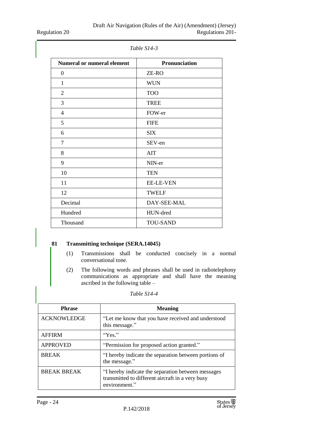Regulation 20

| <b>Numeral or numeral element</b> | Pronunciation    |
|-----------------------------------|------------------|
| $\boldsymbol{0}$                  | ZE-RO            |
| 1                                 | <b>WUN</b>       |
| $\overline{2}$                    | <b>TOO</b>       |
| $\mathfrak{Z}$                    | <b>TREE</b>      |
| $\overline{4}$                    | FOW-er           |
| 5                                 | <b>FIFE</b>      |
| 6                                 | <b>SIX</b>       |
| 7                                 | SEV-en           |
| 8                                 | <b>AIT</b>       |
| 9                                 | NIN-er           |
| 10                                | <b>TEN</b>       |
| 11                                | <b>EE-LE-VEN</b> |
| 12                                | <b>TWELF</b>     |
| Decimal                           | DAY-SEE-MAL      |
| Hundred                           | HUN-dred         |
| Thousand                          | <b>TOU-SAND</b>  |

*Table S14-3*

# **81 Transmitting technique (SERA.14045)**

- (1) Transmissions shall be conducted concisely in a normal conversational tone.
- (2) The following words and phrases shall be used in radiotelephony communications as appropriate and shall have the meaning ascribed in the following table –

| <b>Phrase</b>      | <b>Meaning</b>                                                                                                          |
|--------------------|-------------------------------------------------------------------------------------------------------------------------|
| <b>ACKNOWLEDGE</b> | "Let me know that you have received and understood<br>this message."                                                    |
| <b>AFFIRM</b>      | "Yes."                                                                                                                  |
| <b>APPROVED</b>    | "Permission for proposed action granted."                                                                               |
| <b>BREAK</b>       | "I hereby indicate the separation between portions of<br>the message."                                                  |
| <b>BREAK BREAK</b> | "I hereby indicate the separation between messages<br>transmitted to different aircraft in a very busy<br>environment." |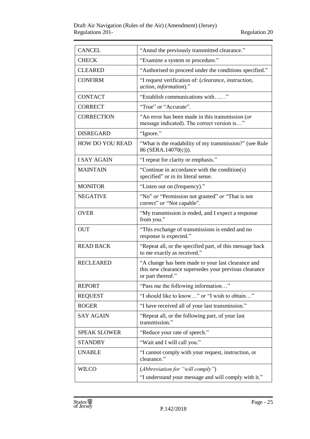| <b>CANCEL</b>          | "Annul the previously transmitted clearance."                                                                                    |
|------------------------|----------------------------------------------------------------------------------------------------------------------------------|
| <b>CHECK</b>           | "Examine a system or procedure."                                                                                                 |
| <b>CLEARED</b>         | "Authorised to proceed under the conditions specified."                                                                          |
| <b>CONFIRM</b>         | "I request verification of: (clearance, instruction,<br>action, information)."                                                   |
| <b>CONTACT</b>         | "Establish communications with"                                                                                                  |
| <b>CORRECT</b>         | "True" or "Accurate".                                                                                                            |
| <b>CORRECTION</b>      | "An error has been made in this transmission (or<br>message indicated). The correct version is"                                  |
| <b>DISREGARD</b>       | "Ignore."                                                                                                                        |
| <b>HOW DO YOU READ</b> | "What is the readability of my transmission?" (see Rule<br>86 (SERA.14070(c))).                                                  |
| <b>I SAY AGAIN</b>     | "I repeat for clarity or emphasis."                                                                                              |
| <b>MAINTAIN</b>        | "Continue in accordance with the condition(s)<br>specified" or in its literal sense.                                             |
| <b>MONITOR</b>         | "Listen out on (frequency)."                                                                                                     |
| <b>NEGATIVE</b>        | "No" or "Permission not granted" or "That is not<br>correct" or "Not capable".                                                   |
| <b>OVER</b>            | "My transmission is ended, and I expect a response<br>from you."                                                                 |
| <b>OUT</b>             | "This exchange of transmissions is ended and no<br>response is expected."                                                        |
| <b>READ BACK</b>       | "Repeat all, or the specified part, of this message back<br>to me exactly as received."                                          |
| <b>RECLEARED</b>       | "A change has been made to your last clearance and<br>this new clearance supersedes your previous clearance<br>or part thereof." |
| <b>REPORT</b>          | "Pass me the following information"                                                                                              |
| <b>REQUEST</b>         | "I should like to know" or "I wish to obtain"                                                                                    |
| <b>ROGER</b>           | "I have received all of your last transmission."                                                                                 |
| <b>SAY AGAIN</b>       | "Repeat all, or the following part, of your last<br>transmission."                                                               |
| <b>SPEAK SLOWER</b>    | "Reduce your rate of speech."                                                                                                    |
| <b>STANDBY</b>         | "Wait and I will call you."                                                                                                      |
| <b>UNABLE</b>          | "I cannot comply with your request, instruction, or<br>clearance."                                                               |
| <b>WILCO</b>           | (Abbreviation for "will comply")<br>"I understand your message and will comply with it."                                         |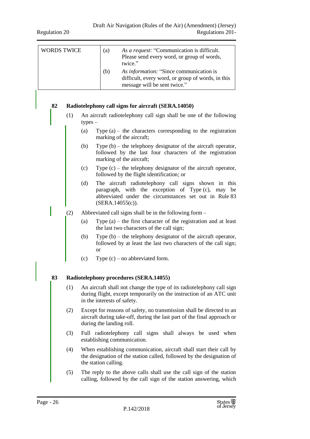| <b>WORDS TWICE</b> |     | As a request: "Communication is difficult.<br>(a)<br>Please send every word, or group of words,<br>twice."                                                                                        |  |
|--------------------|-----|---------------------------------------------------------------------------------------------------------------------------------------------------------------------------------------------------|--|
|                    |     | As information: "Since communication is<br>(b)<br>difficult, every word, or group of words, in this<br>message will be sent twice."                                                               |  |
| 82                 |     | Radiotelephony call signs for aircraft (SERA.14050)                                                                                                                                               |  |
|                    | (1) | An aircraft radiotelephony call sign shall be one of the following<br>$types -$                                                                                                                   |  |
|                    |     | (a)<br>Type $(a)$ – the characters corresponding to the registration<br>marking of the aircraft;                                                                                                  |  |
|                    |     | (b)<br>Type $(b)$ – the telephony designator of the aircraft operator,<br>followed by the last four characters of the registration<br>marking of the aircraft;                                    |  |
|                    |     | Type $(c)$ – the telephony designator of the aircraft operator,<br>(c)<br>followed by the flight identification; or                                                                               |  |
|                    |     | (d)<br>The aircraft radiotelephony call signs shown in this<br>paragraph, with the exception of Type (c), may be<br>abbreviated under the circumstances set out in Rule 83<br>$(SERA.14055(c))$ . |  |
|                    | (2) | Abbreviated call signs shall be in the following form –                                                                                                                                           |  |
|                    |     | Type $(a)$ – the first character of the registration and at least<br>(a)<br>the last two characters of the call sign;                                                                             |  |
|                    |     | (b)<br>Type $(b)$ – the telephony designator of the aircraft operator,<br>followed by at least the last two characters of the call sign;<br><sub>or</sub>                                         |  |
|                    |     | Type $(c)$ – no abbreviated form.<br>(c)                                                                                                                                                          |  |
| 83                 |     | Radiotelephony procedures (SERA.14055)                                                                                                                                                            |  |
|                    | (1) | An aircraft shall not change the type of its radiotelephony call sign<br>during flight, except temporarily on the instruction of an ATC unit<br>in the interests of safety.                       |  |
|                    | (2) | Except for reasons of safety, no transmission shall be directed to an<br>aircraft during take-off, during the last part of the final approach or<br>during the landing roll.                      |  |
|                    | (3) | Full radiotelephony call signs shall always be used when<br>establishing communication.                                                                                                           |  |
|                    | (4) | When establishing communication, aircraft shall start their call by<br>the designation of the station called, followed by the designation of<br>the station calling.                              |  |
|                    | (5) | The reply to the above calls shall use the call sign of the station<br>calling, followed by the call sign of the station answering, which                                                         |  |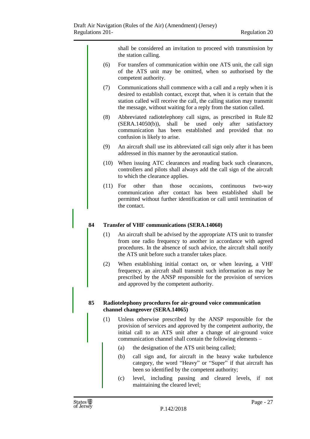shall be considered an invitation to proceed with transmission by the station calling.

- (6) For transfers of communication within one ATS unit, the call sign of the ATS unit may be omitted, when so authorised by the competent authority.
- (7) Communications shall commence with a call and a reply when it is desired to establish contact, except that, when it is certain that the station called will receive the call, the calling station may transmit the message, without waiting for a reply from the station called.
- (8) Abbreviated radiotelephony call signs, as prescribed in Rule 82 (SERA.14050(b)), shall be used only after satisfactory communication has been established and provided that no confusion is likely to arise.
- (9) An aircraft shall use its abbreviated call sign only after it has been addressed in this manner by the aeronautical station.
- (10) When issuing ATC clearances and reading back such clearances, controllers and pilots shall always add the call sign of the aircraft to which the clearance applies.
- (11) For other than those occasions, continuous two-way communication after contact has been established shall be permitted without further identification or call until termination of the contact.

#### **84 Transfer of VHF communications (SERA.14060)**

- (1) An aircraft shall be advised by the appropriate ATS unit to transfer from one radio frequency to another in accordance with agreed procedures. In the absence of such advice, the aircraft shall notify the ATS unit before such a transfer takes place.
- (2) When establishing initial contact on, or when leaving, a VHF frequency, an aircraft shall transmit such information as may be prescribed by the ANSP responsible for the provision of services and approved by the competent authority.

#### **85 Radiotelephony procedures for air-ground voice communication channel changeover (SERA.14065)**

- (1) Unless otherwise prescribed by the ANSP responsible for the provision of services and approved by the competent authority, the initial call to an ATS unit after a change of air-ground voice communication channel shall contain the following elements –
	- (a) the designation of the ATS unit being called;
	- (b) call sign and, for aircraft in the heavy wake turbulence category, the word "Heavy" or "Super" if that aircraft has been so identified by the competent authority;
	- (c) level, including passing and cleared levels, if not maintaining the cleared level;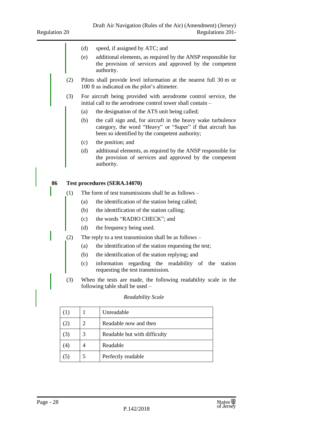- (d) speed, if assigned by ATC; and
- (e) additional elements, as required by the ANSP responsible for the provision of services and approved by the competent authority.
- (2) Pilots shall provide level information at the nearest full 30 m or 100 ft as indicated on the pilot's altimeter.
- (3) For aircraft being provided with aerodrome control service, the initial call to the aerodrome control tower shall contain –
	- (a) the designation of the ATS unit being called;
	- (b) the call sign and, for aircraft in the heavy wake turbulence category, the word "Heavy" or "Super" if that aircraft has been so identified by the competent authority;
	- (c) the position; and
	- (d) additional elements, as required by the ANSP responsible for the provision of services and approved by the competent authority.

#### **86 Test procedures (SERA.14070)**

- (1) The form of test transmissions shall be as follows
	- (a) the identification of the station being called;
	- (b) the identification of the station calling;
	- (c) the words "RADIO CHECK"; and
	- (d) the frequency being used.
- (2) The reply to a test transmission shall be as follows
	- (a) the identification of the station requesting the test;
	- (b) the identification of the station replying; and
	- (c) information regarding the readability of the station requesting the test transmission.
- (3) When the tests are made, the following readability scale in the following table shall be used –

| (1) | Unreadable                   |
|-----|------------------------------|
| (2) | Readable now and then        |
| (3) | Readable but with difficulty |
| (4) | Readable                     |
| (5) | Perfectly readable           |

#### *Readability Scale*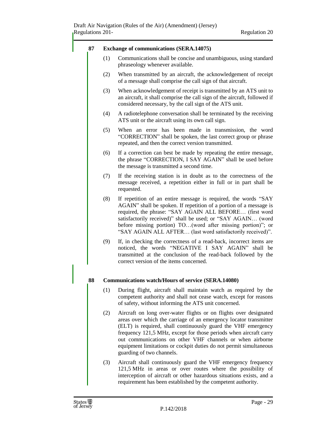#### **87 Exchange of communications (SERA.14075)**

- (1) Communications shall be concise and unambiguous, using standard phraseology whenever available.
- (2) When transmitted by an aircraft, the acknowledgement of receipt of a message shall comprise the call sign of that aircraft.
- (3) When acknowledgement of receipt is transmitted by an ATS unit to an aircraft, it shall comprise the call sign of the aircraft, followed if considered necessary, by the call sign of the ATS unit.
- (4) A radiotelephone conversation shall be terminated by the receiving ATS unit or the aircraft using its own call sign.
- (5) When an error has been made in transmission, the word "CORRECTION" shall be spoken, the last correct group or phrase repeated, and then the correct version transmitted.
- (6) If a correction can best be made by repeating the entire message, the phrase "CORRECTION, I SAY AGAIN" shall be used before the message is transmitted a second time.
- (7) If the receiving station is in doubt as to the correctness of the message received, a repetition either in full or in part shall be requested.
- (8) If repetition of an entire message is required, the words "SAY AGAIN" shall be spoken. If repetition of a portion of a message is required, the phrase: "SAY AGAIN ALL BEFORE… (first word satisfactorily received)" shall be used; or "SAY AGAIN… (word before missing portion) TO…(word after missing portion)"; or "SAY AGAIN ALL AFTER… (last word satisfactorily received)".
- (9) If, in checking the correctness of a read-back, incorrect items are noticed, the words "NEGATIVE I SAY AGAIN" shall be transmitted at the conclusion of the read-back followed by the correct version of the items concerned.

#### **88 Communications watch/Hours of service (SERA.14080)**

- (1) During flight, aircraft shall maintain watch as required by the competent authority and shall not cease watch, except for reasons of safety, without informing the ATS unit concerned.
- (2) Aircraft on long over-water flights or on flights over designated areas over which the carriage of an emergency locator transmitter (ELT) is required, shall continuously guard the VHF emergency frequency 121,5 MHz, except for those periods when aircraft carry out communications on other VHF channels or when airborne equipment limitations or cockpit duties do not permit simultaneous guarding of two channels.
- (3) Aircraft shall continuously guard the VHF emergency frequency 121,5 MHz in areas or over routes where the possibility of interception of aircraft or other hazardous situations exists, and a requirement has been established by the competent authority.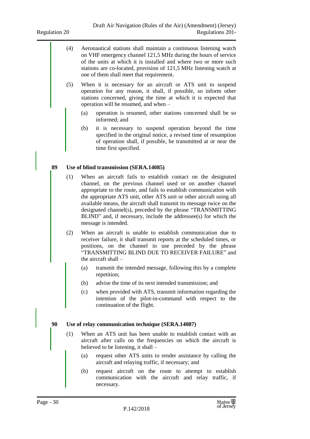- (4) Aeronautical stations shall maintain a continuous listening watch on VHF emergency channel 121,5 MHz during the hours of service of the units at which it is installed and where two or more such stations are co-located, provision of 121,5 MHz listening watch at one of them shall meet that requirement.
- (5) When it is necessary for an aircraft or ATS unit to suspend operation for any reason, it shall, if possible, so inform other stations concerned, giving the time at which it is expected that operation will be resumed, and when –
	- (a) operation is resumed, other stations concerned shall be so informed; and
	- (b) it is necessary to suspend operation beyond the time specified in the original notice, a revised time of resumption of operation shall, if possible, be transmitted at or near the time first specified.

#### **89 Use of blind transmission (SERA.14085)**

- (1) When an aircraft fails to establish contact on the designated channel, on the previous channel used or on another channel appropriate to the route, and fails to establish communication with the appropriate ATS unit, other ATS unit or other aircraft using all available means, the aircraft shall transmit its message twice on the designated channel(s), preceded by the phrase "TRANSMITTING BLIND" and, if necessary, include the addressee(s) for which the message is intended.
- (2) When an aircraft is unable to establish communication due to receiver failure, it shall transmit reports at the scheduled times, or positions, on the channel in use preceded by the phrase "TRANSMITTING BLIND DUE TO RECEIVER FAILURE" and the aircraft shall –
	- (a) transmit the intended message, following this by a complete repetition;
	- (b) advise the time of its next intended transmission; and
	- (c) when provided with ATS, transmit information regarding the intention of the pilot-in-command with respect to the continuation of the flight.

#### **90 Use of relay communication technique (SERA.14087)**

- (1) When an ATS unit has been unable to establish contact with an aircraft after calls on the frequencies on which the aircraft is believed to be listening, it shall –
	- (a) request other ATS units to render assistance by calling the aircraft and relaying traffic, if necessary; and
	- (b) request aircraft on the route to attempt to establish communication with the aircraft and relay traffic, if necessary.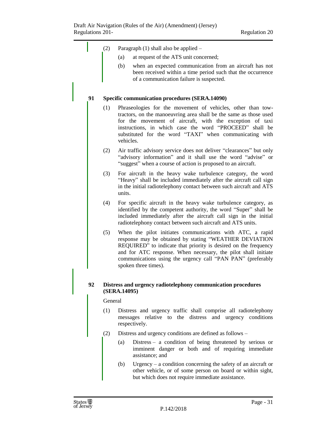|    | (2)     |              | Paragraph (1) shall also be applied -                                                                                                                                                                                                                                                                                                           |
|----|---------|--------------|-------------------------------------------------------------------------------------------------------------------------------------------------------------------------------------------------------------------------------------------------------------------------------------------------------------------------------------------------|
|    |         | (a)          | at request of the ATS unit concerned;                                                                                                                                                                                                                                                                                                           |
|    |         | (b)          | when an expected communication from an aircraft has not<br>been received within a time period such that the occurrence<br>of a communication failure is suspected.                                                                                                                                                                              |
| 91 |         |              | <b>Specific communication procedures (SERA.14090)</b>                                                                                                                                                                                                                                                                                           |
|    | (1)     | vehicles.    | Phraseologies for the movement of vehicles, other than tow-<br>tractors, on the manoeuvring area shall be the same as those used<br>for the movement of aircraft, with the exception of taxi<br>instructions, in which case the word "PROCEED" shall be<br>substituted for the word "TAXI" when communicating with                              |
|    | (2)     |              | Air traffic advisory service does not deliver "clearances" but only<br>"advisory information" and it shall use the word "advise" or<br>"suggest" when a course of action is proposed to an aircraft.                                                                                                                                            |
|    | (3)     | units.       | For aircraft in the heavy wake turbulence category, the word<br>"Heavy" shall be included immediately after the aircraft call sign<br>in the initial radiotelephony contact between such aircraft and ATS                                                                                                                                       |
|    | (4)     |              | For specific aircraft in the heavy wake turbulence category, as<br>identified by the competent authority, the word "Super" shall be<br>included immediately after the aircraft call sign in the initial<br>radiotelephony contact between such aircraft and ATS units.                                                                          |
|    | (5)     |              | When the pilot initiates communications with ATC, a rapid<br>response may be obtained by stating "WEATHER DEVIATION<br>REQUIRED" to indicate that priority is desired on the frequency<br>and for ATC response. When necessary, the pilot shall initiate<br>communications using the urgency call "PAN PAN" (preferably<br>spoken three times). |
|    |         | (SERA.14095) | Distress and urgency radiotelephony communication procedures                                                                                                                                                                                                                                                                                    |
|    | General |              |                                                                                                                                                                                                                                                                                                                                                 |
|    | (1)     |              | Distress and urgency traffic shall comprise all radiotelephony<br>messages relative to the distress and urgency conditions<br>respectively.                                                                                                                                                                                                     |
|    | (2)     |              | Distress and urgency conditions are defined as follows -                                                                                                                                                                                                                                                                                        |
|    |         | (a)          | Distress – a condition of being threatened by serious or<br>imminent danger or both and of requiring immediate<br>assistance; and                                                                                                                                                                                                               |
|    |         | (b)          | Urgency $-$ a condition concerning the safety of an aircraft or<br>other vehicle, or of some person on board or within sight,<br>but which does not require immediate assistance.                                                                                                                                                               |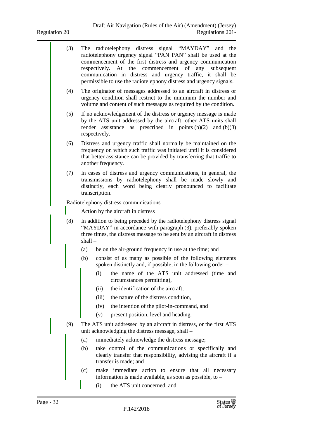| (3) |           | The radiotelephony distress signal "MAYDAY" and the                                                                                                                                                            |
|-----|-----------|----------------------------------------------------------------------------------------------------------------------------------------------------------------------------------------------------------------|
|     |           | radiotelephony urgency signal "PAN PAN" shall be used at the                                                                                                                                                   |
|     |           | commencement of the first distress and urgency communication<br>respectively. At the commencement of any<br>subsequent                                                                                         |
|     |           | communication in distress and urgency traffic, it shall be                                                                                                                                                     |
|     |           | permissible to use the radiotelephony distress and urgency signals.                                                                                                                                            |
| (4) |           | The originator of messages addressed to an aircraft in distress or<br>urgency condition shall restrict to the minimum the number and<br>volume and content of such messages as required by the condition.      |
| (5) |           | If no acknowledgement of the distress or urgency message is made                                                                                                                                               |
|     |           | by the ATS unit addressed by the aircraft, other ATS units shall<br>render assistance as prescribed in points $(b)(2)$ and $(b)(3)$<br>respectively.                                                           |
| (6) |           | Distress and urgency traffic shall normally be maintained on the                                                                                                                                               |
|     |           | frequency on which such traffic was initiated until it is considered<br>that better assistance can be provided by transferring that traffic to<br>another frequency.                                           |
| (7) |           | In cases of distress and urgency communications, in general, the                                                                                                                                               |
|     |           | transmissions by radiotelephony shall be made slowly and<br>distinctly, each word being clearly pronounced to facilitate                                                                                       |
|     |           | transcription.                                                                                                                                                                                                 |
|     |           | Radiotelephony distress communications                                                                                                                                                                         |
|     |           | Action by the aircraft in distress                                                                                                                                                                             |
| (8) | $shall -$ | In addition to being preceded by the radiotelephony distress signal<br>"MAYDAY" in accordance with paragraph (3), preferably spoken<br>three times, the distress message to be sent by an aircraft in distress |
|     | (a)       | be on the air-ground frequency in use at the time; and                                                                                                                                                         |
|     | (b)       | consist of as many as possible of the following elements<br>spoken distinctly and, if possible, in the following order -                                                                                       |
|     |           | (i) the name of the ATS unit addressed (time and<br>circumstances permitting),                                                                                                                                 |
|     |           | the identification of the aircraft,<br>(ii)                                                                                                                                                                    |
|     |           | the nature of the distress condition,<br>(iii)                                                                                                                                                                 |
|     |           | the intention of the pilot-in-command, and<br>(iv)                                                                                                                                                             |
|     |           | present position, level and heading.<br>(v)                                                                                                                                                                    |
| (9) |           | The ATS unit addressed by an aircraft in distress, or the first ATS<br>unit acknowledging the distress message, shall -                                                                                        |
|     |           |                                                                                                                                                                                                                |
|     | (a)       | immediately acknowledge the distress message;                                                                                                                                                                  |
|     | (b)       | take control of the communications or specifically and<br>clearly transfer that responsibility, advising the aircraft if a<br>transfer is made; and                                                            |
|     | (c)       | make immediate action to ensure that all necessary<br>information is made available, as soon as possible, to –                                                                                                 |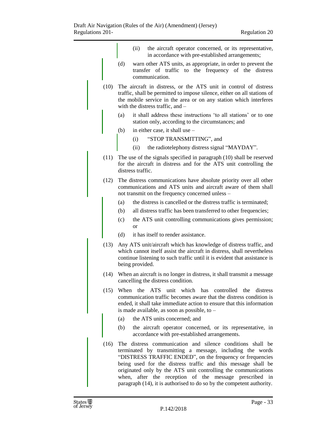|      |     | (ii)<br>the aircraft operator concerned, or its representative,<br>in accordance with pre-established arrangements;                                                                                                                                                                                                                                                                                                                                        |
|------|-----|------------------------------------------------------------------------------------------------------------------------------------------------------------------------------------------------------------------------------------------------------------------------------------------------------------------------------------------------------------------------------------------------------------------------------------------------------------|
|      | (d) | warn other ATS units, as appropriate, in order to prevent the<br>transfer of traffic to the frequency of the distress<br>communication.                                                                                                                                                                                                                                                                                                                    |
| (10) |     | The aircraft in distress, or the ATS unit in control of distress<br>traffic, shall be permitted to impose silence, either on all stations of<br>the mobile service in the area or on any station which interferes<br>with the distress traffic, and $-$                                                                                                                                                                                                    |
|      | (a) | it shall address these instructions 'to all stations' or to one<br>station only, according to the circumstances; and                                                                                                                                                                                                                                                                                                                                       |
|      | (b) | in either case, it shall use -                                                                                                                                                                                                                                                                                                                                                                                                                             |
|      |     | "STOP TRANSMITTING", and<br>(i)                                                                                                                                                                                                                                                                                                                                                                                                                            |
|      |     | the radiotelephony distress signal "MAYDAY".<br>(ii)                                                                                                                                                                                                                                                                                                                                                                                                       |
| (11) |     | The use of the signals specified in paragraph (10) shall be reserved<br>for the aircraft in distress and for the ATS unit controlling the<br>distress traffic.                                                                                                                                                                                                                                                                                             |
| (12) |     | The distress communications have absolute priority over all other<br>communications and ATS units and aircraft aware of them shall<br>not transmit on the frequency concerned unless –                                                                                                                                                                                                                                                                     |
|      | (a) | the distress is cancelled or the distress traffic is terminated;                                                                                                                                                                                                                                                                                                                                                                                           |
|      | (b) | all distress traffic has been transferred to other frequencies;                                                                                                                                                                                                                                                                                                                                                                                            |
|      | (c) | the ATS unit controlling communications gives permission;<br>or                                                                                                                                                                                                                                                                                                                                                                                            |
|      | (d) | it has itself to render assistance.                                                                                                                                                                                                                                                                                                                                                                                                                        |
| (13) |     | Any ATS unit/aircraft which has knowledge of distress traffic, and<br>which cannot itself assist the aircraft in distress, shall nevertheless<br>continue listening to such traffic until it is evident that assistance is<br>being provided.                                                                                                                                                                                                              |
| (14) |     | When an aircraft is no longer in distress, it shall transmit a message<br>cancelling the distress condition.                                                                                                                                                                                                                                                                                                                                               |
| (15) |     | ATS unit which has controlled<br>When the<br>the<br>distress<br>communication traffic becomes aware that the distress condition is<br>ended, it shall take immediate action to ensure that this information<br>is made available, as soon as possible, to -                                                                                                                                                                                                |
|      | (a) | the ATS units concerned; and                                                                                                                                                                                                                                                                                                                                                                                                                               |
|      | (b) | the aircraft operator concerned, or its representative, in<br>accordance with pre-established arrangements.                                                                                                                                                                                                                                                                                                                                                |
| (16) |     | The distress communication and silence conditions shall be<br>terminated by transmitting a message, including the words<br>"DISTRESS TRAFFIC ENDED", on the frequency or frequencies<br>being used for the distress traffic and this message shall be<br>originated only by the ATS unit controlling the communications<br>when, after the reception of the message prescribed in<br>paragraph (14), it is authorised to do so by the competent authority. |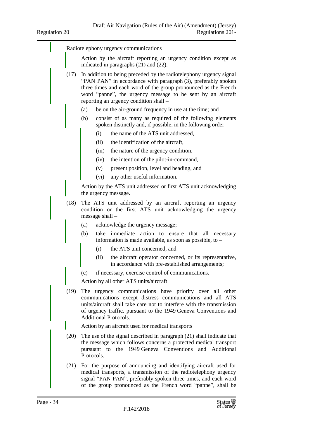Radiotelephony urgency communications Action by the aircraft reporting an urgency condition except as indicated in paragraphs (21) and (22). (17) In addition to being preceded by the radiotelephony urgency signal "PAN PAN" in accordance with paragraph (3), preferably spoken three times and each word of the group pronounced as the French word "panne", the urgency message to be sent by an aircraft reporting an urgency condition shall – (a) be on the air-ground frequency in use at the time; and (b) consist of as many as required of the following elements spoken distinctly and, if possible, in the following order – (i) the name of the ATS unit addressed, (ii) the identification of the aircraft, (iii) the nature of the urgency condition, (iv) the intention of the pilot-in-command, (v) present position, level and heading, and (vi) any other useful information. Action by the ATS unit addressed or first ATS unit acknowledging the urgency message. (18) The ATS unit addressed by an aircraft reporting an urgency condition or the first ATS unit acknowledging the urgency message shall – (a) acknowledge the urgency message; (b) take immediate action to ensure that all necessary information is made available, as soon as possible, to – (i) the ATS unit concerned, and (ii) the aircraft operator concerned, or its representative, in accordance with pre-established arrangements; (c) if necessary, exercise control of communications. Action by all other ATS units/aircraft (19) The urgency communications have priority over all other communications except distress communications and all ATS units/aircraft shall take care not to interfere with the transmission of urgency traffic. pursuant to the 1949 Geneva Conventions and Additional Protocols. Action by an aircraft used for medical transports (20) The use of the signal described in paragraph (21) shall indicate that the message which follows concerns a protected medical transport pursuant to the 1949 Geneva Conventions and Additional Protocols. (21) For the purpose of announcing and identifying aircraft used for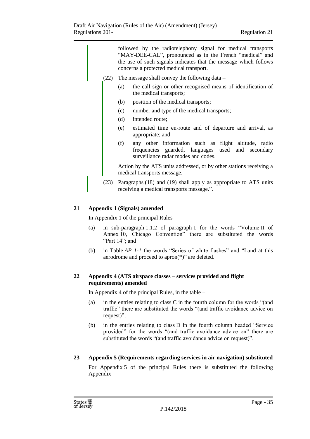followed by the radiotelephony signal for medical transports "MAY-DEE-CAL", pronounced as in the French "medical" and the use of such signals indicates that the message which follows concerns a protected medical transport.

- (22) The message shall convey the following data
	- (a) the call sign or other recognised means of identification of the medical transports;
	- (b) position of the medical transports;
	- (c) number and type of the medical transports;
	- (d) intended route;
	- (e) estimated time en-route and of departure and arrival, as appropriate; and
	- (f) any other information such as flight altitude, radio frequencies guarded, languages used and secondary surveillance radar modes and codes.

Action by the ATS units addressed, or by other stations receiving a medical transports message.

(23) Paragraphs (18) and (19) shall apply as appropriate to ATS units receiving a medical transports message.".

# <span id="page-34-0"></span>**21 Appendix 1 (Signals) amended**

In Appendix 1 of the principal Rules –

- (a) in sub-paragraph 1.1.2 of paragraph 1 for the words "Volume II of Annex 10, Chicago Convention" there are substituted the words "Part 14"; and
- (b) in Table *AP 1-1* the words "Series of white flashes" and "Land at this aerodrome and proceed to apron(\*)" are deleted.

#### <span id="page-34-1"></span>**22 Appendix 4 (ATS airspace classes – services provided and flight requirements) amended**

In Appendix 4 of the principal Rules, in the table –

- (a) in the entries relating to class C in the fourth column for the words "(and traffic" there are substituted the words "(and traffic avoidance advice on request)";
- (b) in the entries relating to class D in the fourth column headed "Service provided" for the words "(and traffic avoidance advice on" there are substituted the words "(and traffic avoidance advice on request)".

#### <span id="page-34-2"></span>**23 Appendix 5 (Requirements regarding services in air navigation) substituted**

For Appendix 5 of the principal Rules there is substituted the following Appendix –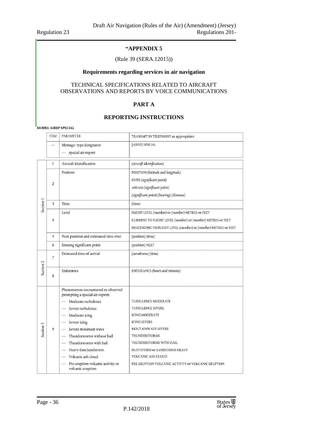#### **"APPENDIX 5**

#### (Rule 39 (SERA.12015))

#### **Requirements regarding services in air navigation**

#### TECHNICAL SPECIFICATIONS RELATED TO AIRCRAFT OBSERVATIONS AND REPORTS BY VOICE COMMUNICATIONS

#### **PART A**

#### **REPORTING INSTRUCTIONS**

MODEL AIREP SPECIAL

|                      | <b>ITEM</b>             | <b>PARAMETER</b>                                                      | TRANSMIT IN TELEPHONY as appropriate                           |  |  |  |  |
|----------------------|-------------------------|-----------------------------------------------------------------------|----------------------------------------------------------------|--|--|--|--|
|                      |                         | Message-type designator                                               | [AIREP] SPECIAL                                                |  |  |  |  |
|                      |                         | - special air-report                                                  |                                                                |  |  |  |  |
| Section <sub>1</sub> | $\mathbf{1}$            | Aircraft identification                                               | (aircraft identification)                                      |  |  |  |  |
|                      | $\overline{2}$          | Position                                                              | POSITION (latitude and longitude)                              |  |  |  |  |
|                      |                         |                                                                       | OVER (significant point)                                       |  |  |  |  |
|                      |                         |                                                                       | ABEAM (significant point)                                      |  |  |  |  |
|                      |                         |                                                                       | (significant point) (bearing) (distance)                       |  |  |  |  |
|                      | $\overline{\mathbf{3}}$ | Time                                                                  | (time)                                                         |  |  |  |  |
|                      |                         | Level                                                                 | FLIGHT LEVEL (number) or (number) METRES or FEET               |  |  |  |  |
|                      | $\overline{4}$          |                                                                       | CLIMBING TO FLIGHT LEVEL (number) or (number) METRES or FEET   |  |  |  |  |
|                      |                         |                                                                       | DESCENDING TO FLIGHT LEVEL (number) or (number) METRES or FEET |  |  |  |  |
|                      | 5                       | Next position and estimated time over                                 | (position) (time)                                              |  |  |  |  |
|                      | 6                       | Ensuing significant point                                             | (position) NEXT                                                |  |  |  |  |
|                      | $\overline{7}$          | Estimated time of arrival                                             | (aerodrome) (time)                                             |  |  |  |  |
|                      |                         |                                                                       |                                                                |  |  |  |  |
| Section <sub>2</sub> | 8                       | Endurance                                                             | ENDURANCE (hours and minutes)                                  |  |  |  |  |
|                      |                         |                                                                       |                                                                |  |  |  |  |
|                      | 9                       | Phenomenon encountered or observed<br>prompting a special air-report: |                                                                |  |  |  |  |
|                      |                         | Moderate turbulence                                                   | TURBULENCE MODERATE                                            |  |  |  |  |
|                      |                         | Severe turbulence                                                     | TURBULENCE SEVERE                                              |  |  |  |  |
|                      |                         | Moderate icing                                                        | <b>ICING MODERATE</b>                                          |  |  |  |  |
|                      |                         | Severe icing                                                          | <b>ICING SEVERE</b>                                            |  |  |  |  |
| Section 3            |                         | Severe mountain wave                                                  | MOUTAINWAVE SEVERE                                             |  |  |  |  |
|                      |                         | Thunderstorms without hail                                            | THUNDERSTORMS                                                  |  |  |  |  |
|                      |                         | Thunderstorms with hail                                               | THUNDERSTORMS WITH HAIL                                        |  |  |  |  |
|                      |                         | Heavy dust/sandstorm                                                  | DUSTSTORM or SANDSTORM HEAVY                                   |  |  |  |  |
|                      |                         | Volcanic ash cloud                                                    | <b>VOLCANIC ASH CLOUD</b>                                      |  |  |  |  |
|                      |                         | Pre-eruption volcanic activity or<br>volcanic eruption                | PRE-ERUPTION VOLCANIC ACTIVITY or VOLCANIC ERUPTION            |  |  |  |  |

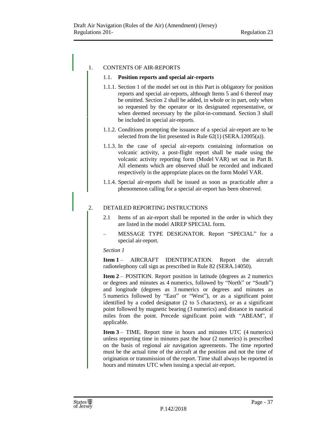#### 1. CONTENTS OF AIR-REPORTS

#### 1.1. **Position reports and special air-reports**

- 1.1.1. Section 1 of the model set out in this Part is obligatory for position reports and special air-reports, although Items 5 and 6 thereof may be omitted. Section 2 shall be added, in whole or in part, only when so requested by the operator or its designated representative, or when deemed necessary by the pilot-in-command. Section 3 shall be included in special air-reports.
- 1.1.2. Conditions prompting the issuance of a special air-report are to be selected from the list presented in Rule 62(1) (SERA.12005(a)).
- 1.1.3. In the case of special air-reports containing information on volcanic activity, a post-flight report shall be made using the volcanic activity reporting form (Model VAR) set out in Part B. All elements which are observed shall be recorded and indicated respectively in the appropriate places on the form Model VAR.
- 1.1.4. Special air-reports shall be issued as soon as practicable after a phenomenon calling for a special air-report has been observed.

#### 2. DETAILED REPORTING INSTRUCTIONS

- 2.1 Items of an air-report shall be reported in the order in which they are listed in the model AIREP SPECIAL form.
- MESSAGE TYPE DESIGNATOR. Report "SPECIAL" for a special air-report.

#### *Section 1*

**Item 1** – AIRCRAFT IDENTIFICATION. Report the aircraft radiotelephony call sign as prescribed in Rule 82 (SERA.14050).

**Item 2** – POSITION. Report position in latitude (degrees as 2 numerics or degrees and minutes as 4 numerics, followed by "North" or "South") and longitude (degrees as 3 numerics or degrees and minutes as 5 numerics followed by "East" or "West"), or as a significant point identified by a coded designator (2 to 5 characters), or as a significant point followed by magnetic bearing (3 numerics) and distance in nautical miles from the point. Precede significant point with "ABEAM", if applicable.

**Item 3** – TIME. Report time in hours and minutes UTC (4 numerics) unless reporting time in minutes past the hour (2 numerics) is prescribed on the basis of regional air navigation agreements. The time reported must be the actual time of the aircraft at the position and not the time of origination or transmission of the report. Time shall always be reported in hours and minutes UTC when issuing a special air-report.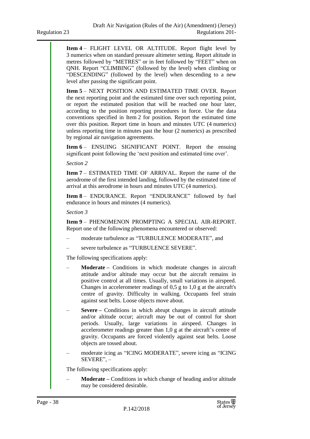**Item 4** – FLIGHT LEVEL OR ALTITUDE. Report flight level by 3 numerics when on standard pressure altimeter setting. Report altitude in metres followed by "METRES" or in feet followed by "FEET" when on QNH. Report "CLIMBING" (followed by the level) when climbing or "DESCENDING" (followed by the level) when descending to a new level after passing the significant point.

**Item 5** – NEXT POSITION AND ESTIMATED TIME OVER. Report the next reporting point and the estimated time over such reporting point, or report the estimated position that will be reached one hour later, according to the position reporting procedures in force. Use the data conventions specified in Item 2 for position. Report the estimated time over this position. Report time in hours and minutes UTC (4 numerics) unless reporting time in minutes past the hour (2 numerics) as prescribed by regional air navigation agreements.

**Item 6** – ENSUING SIGNIFICANT POINT. Report the ensuing significant point following the 'next position and estimated time over'.

*Section 2*

**Item 7** – ESTIMATED TIME OF ARRIVAL. Report the name of the aerodrome of the first intended landing, followed by the estimated time of arrival at this aerodrome in hours and minutes UTC (4 numerics).

**Item 8** – ENDURANCE. Report "ENDURANCE" followed by fuel endurance in hours and minutes (4 numerics).

*Section 3*

**Item 9** – PHENOMENON PROMPTING A SPECIAL AIR-REPORT. Report one of the following phenomena encountered or observed:

- moderate turbulence as "TURBULENCE MODERATE", and
- severe turbulence as "TURBULENCE SEVERE".

The following specifications apply:

- **Moderate –** Conditions in which moderate changes in aircraft attitude and/or altitude may occur but the aircraft remains in positive control at all times. Usually, small variations in airspeed. Changes in accelerometer readings of 0,5 g to 1,0 g at the aircraft's centre of gravity. Difficulty in walking. Occupants feel strain against seat belts. Loose objects move about.
- **Severe –** Conditions in which abrupt changes in aircraft attitude and/or altitude occur; aircraft may be out of control for short periods. Usually, large variations in airspeed. Changes in accelerometer readings greater than 1,0 g at the aircraft's centre of gravity. Occupants are forced violently against seat belts. Loose objects are tossed about.
- moderate icing as "ICING MODERATE", severe icing as "ICING SEVERE", –

The following specifications apply:

– **Moderate –** Conditions in which change of heading and/or altitude may be considered desirable.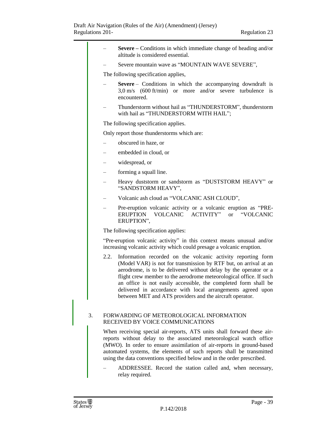|      | <b>Severe</b> – Conditions in which immediate change of heading and/or<br>altitude is considered essential.                                                                                                                                                                                                                                                                                                                                                              |
|------|--------------------------------------------------------------------------------------------------------------------------------------------------------------------------------------------------------------------------------------------------------------------------------------------------------------------------------------------------------------------------------------------------------------------------------------------------------------------------|
|      | Severe mountain wave as "MOUNTAIN WAVE SEVERE",                                                                                                                                                                                                                                                                                                                                                                                                                          |
|      | The following specification applies,                                                                                                                                                                                                                                                                                                                                                                                                                                     |
|      | <b>Severe</b> – Conditions in which the accompanying downdraft is<br>$3.0 \text{ m/s}$ (600 ft/min) or more and/or severe turbulence is<br>encountered.                                                                                                                                                                                                                                                                                                                  |
|      | Thunderstorm without hail as "THUNDERSTORM", thunderstorm<br>with hail as "THUNDERSTORM WITH HAIL";                                                                                                                                                                                                                                                                                                                                                                      |
|      | The following specification applies.                                                                                                                                                                                                                                                                                                                                                                                                                                     |
|      | Only report those thunderstorms which are:                                                                                                                                                                                                                                                                                                                                                                                                                               |
|      | obscured in haze, or                                                                                                                                                                                                                                                                                                                                                                                                                                                     |
|      | embedded in cloud, or                                                                                                                                                                                                                                                                                                                                                                                                                                                    |
|      | widespread, or                                                                                                                                                                                                                                                                                                                                                                                                                                                           |
| —    | forming a squall line.                                                                                                                                                                                                                                                                                                                                                                                                                                                   |
|      | Heavy duststorm or sandstorm as "DUSTSTORM HEAVY" or<br>"SANDSTORM HEAVY",                                                                                                                                                                                                                                                                                                                                                                                               |
|      | Volcanic ash cloud as "VOLCANIC ASH CLOUD",                                                                                                                                                                                                                                                                                                                                                                                                                              |
|      | Pre-eruption volcanic activity or a volcanic eruption as "PRE-<br>ERUPTION VOLCANIC ACTIVITY"<br>"VOLCANIC<br><b>or</b><br>ERUPTION",                                                                                                                                                                                                                                                                                                                                    |
|      | The following specification applies:                                                                                                                                                                                                                                                                                                                                                                                                                                     |
|      | "Pre-eruption volcanic activity" in this context means unusual and/or<br>increasing volcanic activity which could presage a volcanic eruption.                                                                                                                                                                                                                                                                                                                           |
| 2.2. | Information recorded on the volcanic activity reporting form<br>(Model VAR) is not for transmission by RTF but, on arrival at an<br>aerodrome, is to be delivered without delay by the operator or a<br>flight crew member to the aerodrome meteorological office. If such<br>an office is not easily accessible, the completed form shall be<br>delivered in accordance with local arrangements agreed upon<br>between MET and ATS providers and the aircraft operator. |
| 3.   | FORWARDING OF METEOROLOGICAL INFORMATION<br>RECEIVED BY VOICE COMMUNICATIONS                                                                                                                                                                                                                                                                                                                                                                                             |
|      | When receiving special air-reports, ATS units shall forward these air-<br>reports without delay to the associated meteorological watch office<br>(MWO). In order to ensure assimilation of air-reports in ground-based<br>automated systems, the elements of such reports shall be transmitted<br>using the data conventions specified below and in the order prescribed.                                                                                                |
|      | ADDRESSEE. Record the station called and, when necessary,<br>relay required.                                                                                                                                                                                                                                                                                                                                                                                             |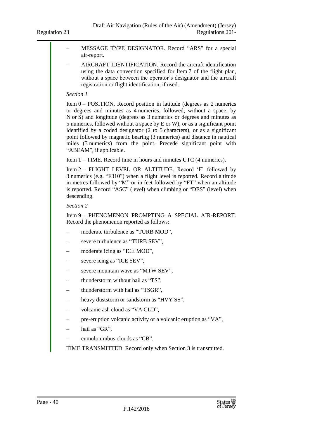- MESSAGE TYPE DESIGNATOR. Record "ARS" for a special air-report.
- AIRCRAFT IDENTIFICATION. Record the aircraft identification using the data convention specified for Item 7 of the flight plan, without a space between the operator's designator and the aircraft registration or flight identification, if used.

#### *Section 1*

Item 0 – POSITION. Record position in latitude (degrees as 2 numerics or degrees and minutes as 4 numerics, followed, without a space, by N or S) and longitude (degrees as 3 numerics or degrees and minutes as 5 numerics, followed without a space by E or W), or as a significant point identified by a coded designator (2 to 5 characters), or as a significant point followed by magnetic bearing (3 numerics) and distance in nautical miles (3 numerics) from the point. Precede significant point with "ABEAM", if applicable.

Item 1 – TIME. Record time in hours and minutes UTC (4 numerics).

Item 2 – FLIGHT LEVEL OR ALTITUDE. Record 'F' followed by 3 numerics (e.g. "F310") when a flight level is reported. Record altitude in metres followed by "M" or in feet followed by "FT" when an altitude is reported. Record "ASC" (level) when climbing or "DES" (level) when descending.

#### *Section 2*

Item 9 – PHENOMENON PROMPTING A SPECIAL AIR-REPORT. Record the phenomenon reported as follows:

- moderate turbulence as "TURB MOD",
- severe turbulence as "TURB SEV",
- moderate icing as "ICE MOD",
- severe icing as "ICE SEV",
- severe mountain wave as "MTW SEV",
- thunderstorm without hail as "TS",
- thunderstorm with hail as "TSGR",
- heavy duststorm or sandstorm as "HVY SS",
- volcanic ash cloud as "VA CLD",
- pre-eruption volcanic activity or a volcanic eruption as "VA",
- hail as "GR",
- cumulonimbus clouds as "CB".

TIME TRANSMITTED. Record only when Section 3 is transmitted.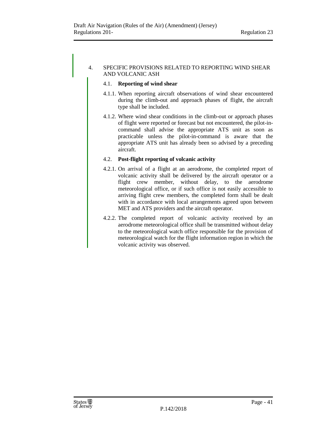#### 4. SPECIFIC PROVISIONS RELATED TO REPORTING WIND SHEAR AND VOLCANIC ASH

#### 4.1. **Reporting of wind shear**

- 4.1.1. When reporting aircraft observations of wind shear encountered during the climb-out and approach phases of flight, the aircraft type shall be included.
- 4.1.2. Where wind shear conditions in the climb-out or approach phases of flight were reported or forecast but not encountered, the pilot-incommand shall advise the appropriate ATS unit as soon as practicable unless the pilot-in-command is aware that the appropriate ATS unit has already been so advised by a preceding aircraft.

#### 4.2. **Post-flight reporting of volcanic activity**

- 4.2.1. On arrival of a flight at an aerodrome, the completed report of volcanic activity shall be delivered by the aircraft operator or a flight crew member, without delay, to the aerodrome meteorological office, or if such office is not easily accessible to arriving flight crew members, the completed form shall be dealt with in accordance with local arrangements agreed upon between MET and ATS providers and the aircraft operator.
- 4.2.2. The completed report of volcanic activity received by an aerodrome meteorological office shall be transmitted without delay to the meteorological watch office responsible for the provision of meteorological watch for the flight information region in which the volcanic activity was observed.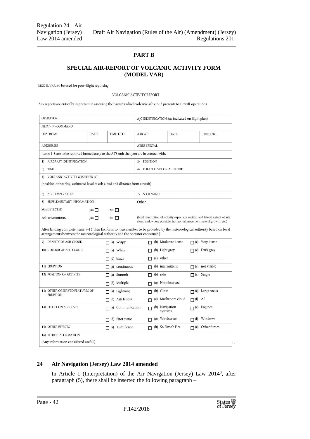#### **PART B**

#### **SPECIAL AIR-REPORT OF VOLCANIC ACTIVITY FORM (MODEL VAR)**

MODEL VAR: to be used for post-flight reporting

#### VOLCANIC ACTIVITY REPORT

Air-reports are critically important in assessing the hazards which volcanic ash cloud presents to aircraft operations.

| <b>OPERATOR:</b>                                                                                                                                                                                                |       |                          |                                | A/C IDENTIFICATION: (as indicated on flight plan) |                                                                       |                |                                                                              |  |
|-----------------------------------------------------------------------------------------------------------------------------------------------------------------------------------------------------------------|-------|--------------------------|--------------------------------|---------------------------------------------------|-----------------------------------------------------------------------|----------------|------------------------------------------------------------------------------|--|
| PILOT-IN-COMMAND:                                                                                                                                                                                               |       |                          |                                |                                                   |                                                                       |                |                                                                              |  |
| DEP FROM:                                                                                                                                                                                                       | DATE: | TIME: UTC:               | ARR AT:                        |                                                   | DATE:                                                                 |                | TIME; UTC:                                                                   |  |
| <b>ADDRESSEE</b>                                                                                                                                                                                                |       |                          |                                | <b>AIREP SPECIAL</b>                              |                                                                       |                |                                                                              |  |
| Items 1-8 are to be reported immediately to the ATS unit that you are in contact with.                                                                                                                          |       |                          |                                |                                                   |                                                                       |                |                                                                              |  |
| AIRCRAFT IDENTIFICATION<br>1)                                                                                                                                                                                   |       |                          |                                | <b>POSITION</b><br>2)                             |                                                                       |                |                                                                              |  |
| TIME<br>3)                                                                                                                                                                                                      |       |                          | FLIGHT LEVEL OR ALTITUDE<br>4) |                                                   |                                                                       |                |                                                                              |  |
| VOLCANIC ACTIVITY OBSERVED AT<br>5)<br>(position or bearing, estimated level of ash cloud and distance from aircraft)                                                                                           |       |                          |                                |                                                   |                                                                       |                |                                                                              |  |
| <b>AIR TEMPERATURE</b><br>$6)$                                                                                                                                                                                  |       |                          |                                | 7) SPOT WIND                                      |                                                                       |                |                                                                              |  |
| SUPPLEMENTARY INFORMATION<br>8)                                                                                                                                                                                 |       |                          |                                |                                                   |                                                                       |                |                                                                              |  |
| SO <sub>2</sub> DETECTED                                                                                                                                                                                        | yes   | $no \Box$                |                                |                                                   |                                                                       |                |                                                                              |  |
| Ash encountered                                                                                                                                                                                                 | yes   | $no \Box$                |                                |                                                   | cloud and, where possible, horizontal movement, rate of growth, etc.) |                | (brief description of activity especially vertical and lateral extent of ash |  |
| After landing complete items 9-16 then fax form to: (Fax number to be provided by the meteorological authority based on local<br>arrangements between the meteorological authority and the operator concerned.) |       |                          |                                |                                                   |                                                                       |                |                                                                              |  |
| DENSITY OF ASH CLOUD<br>9)                                                                                                                                                                                      |       | $\Box$ (a) Wispy         |                                |                                                   | $\Box$ (b) Moderate dense                                             |                | $\Box$ (c) Very dense                                                        |  |
| 10) COLOUR OF ASH CLOUD                                                                                                                                                                                         |       | $\Box$ (a) White         |                                | п                                                 | (b) Light grey                                                        |                | $\Box$ (c) Dark grey                                                         |  |
|                                                                                                                                                                                                                 |       | $\Box$ (d) black         |                                |                                                   |                                                                       |                |                                                                              |  |
| 11) ERUPTION                                                                                                                                                                                                    |       | $\Box$ (a) continuous    |                                | п                                                 | (b) intermittent                                                      |                | $\Box$ (c) not visible                                                       |  |
| 12) POSITION OF ACTIVITY                                                                                                                                                                                        |       | $\Box$ (a) Summit        |                                | П.                                                | $(b)$ side                                                            |                | $\Box$ (c) Single                                                            |  |
|                                                                                                                                                                                                                 |       | $\Box$ (d) Multiple      |                                | п                                                 | (e) Not observed                                                      |                |                                                                              |  |
| 13) OTHER OBSERVED FEATURES OF<br><b>ERUPTION</b>                                                                                                                                                               |       | $\Box$ (a) Lightning     |                                | п                                                 | $(b)$ Glow                                                            |                | $\Box$ (c) Large rocks                                                       |  |
|                                                                                                                                                                                                                 |       | $\Box$ (d) Ash fallout   |                                | п                                                 | (e) Mushroom cloud                                                    | $\Box$ (f) All |                                                                              |  |
| 14) EFFECT ON AIRCRAFT                                                                                                                                                                                          |       | $\Box$ (a) Communication |                                | п                                                 | (b) Navigation<br>systems                                             |                | $\Box$ (c) Engines                                                           |  |
|                                                                                                                                                                                                                 |       | $\Box$ (d) Pitot static  |                                | п                                                 | (e) Windscreen                                                        |                | $\Box$ (f) Windows                                                           |  |
| 15) OTHER EFFECTS                                                                                                                                                                                               |       | $\Box$ (a) Turbulence    |                                | п                                                 | (b) St. Elmo's Fire                                                   |                | $\Box$ (c) Other fumes                                                       |  |
| 16) OTHER INFORMATION                                                                                                                                                                                           |       |                          |                                |                                                   |                                                                       |                |                                                                              |  |
| (Any information considered useful.)                                                                                                                                                                            |       |                          |                                |                                                   |                                                                       |                |                                                                              |  |

#### <span id="page-41-0"></span>**24 Air Navigation (Jersey) Law 2014 amended**

In Article 1 (Interpretation) of the Air Navigation (Jersey) Law 2014<sup>3</sup>, after paragraph (5), there shall be inserted the following paragraph –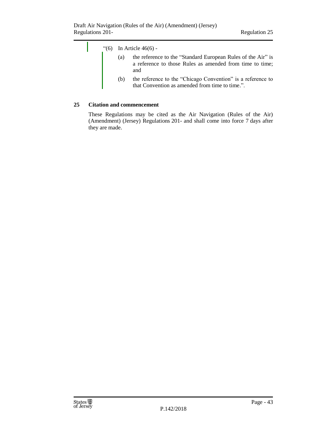

#### <span id="page-42-0"></span>**25 Citation and commencement**

These Regulations may be cited as the Air Navigation (Rules of the Air) (Amendment) (Jersey) Regulations 201- and shall come into force 7 days after they are made.